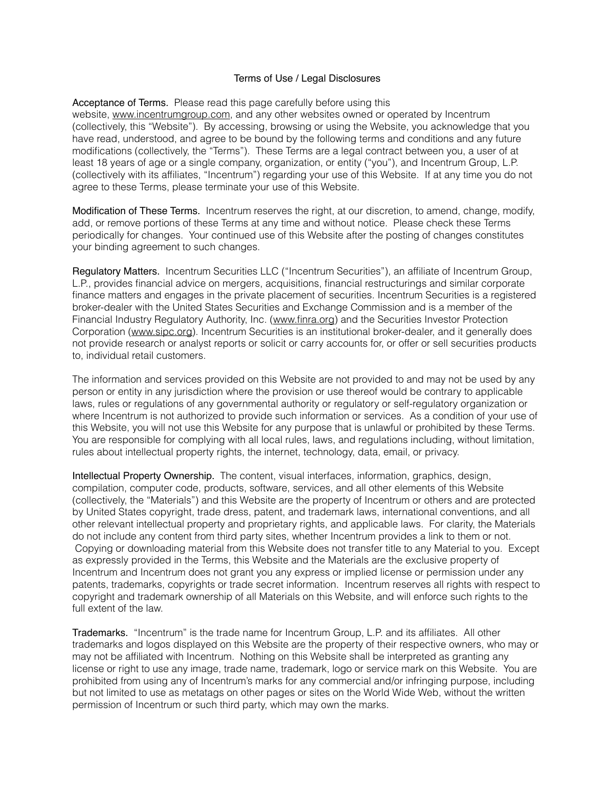## Terms of Use / Legal Disclosures

Acceptance of Terms. Please read this page carefully before using this website, [www.incentrumgroup.com](http://www.incentrumgroup.com/), and any other websites owned or operated by Incentrum (collectively, this "Website"). By accessing, browsing or using the Website, you acknowledge that you have read, understood, and agree to be bound by the following terms and conditions and any future modifications (collectively, the "Terms"). These Terms are a legal contract between you, a user of at least 18 years of age or a single company, organization, or entity ("you"), and Incentrum Group, L.P. (collectively with its affiliates, "Incentrum") regarding your use of this Website. If at any time you do not agree to these Terms, please terminate your use of this Website.

Modification of These Terms. Incentrum reserves the right, at our discretion, to amend, change, modify, add, or remove portions of these Terms at any time and without notice. Please check these Terms periodically for changes. Your continued use of this Website after the posting of changes constitutes your binding agreement to such changes.

Regulatory Matters. Incentrum Securities LLC ("Incentrum Securities"), an affiliate of Incentrum Group, L.P., provides financial advice on mergers, acquisitions, financial restructurings and similar corporate finance matters and engages in the private placement of securities. Incentrum Securities is a registered broker-dealer with the United States Securities and Exchange Commission and is a member of the Financial Industry Regulatory Authority, Inc. [\(www.finra.org](http://www.finra.org/)) and the Securities Investor Protection Corporation ([www.sipc.org](http://www.sipc.org/)). Incentrum Securities is an institutional broker-dealer, and it generally does not provide research or analyst reports or solicit or carry accounts for, or offer or sell securities products to, individual retail customers.

The information and services provided on this Website are not provided to and may not be used by any person or entity in any jurisdiction where the provision or use thereof would be contrary to applicable laws, rules or regulations of any governmental authority or regulatory or self-regulatory organization or where Incentrum is not authorized to provide such information or services. As a condition of your use of this Website, you will not use this Website for any purpose that is unlawful or prohibited by these Terms. You are responsible for complying with all local rules, laws, and regulations including, without limitation, rules about intellectual property rights, the internet, technology, data, email, or privacy.

Intellectual Property Ownership. The content, visual interfaces, information, graphics, design, compilation, computer code, products, software, services, and all other elements of this Website (collectively, the "Materials") and this Website are the property of Incentrum or others and are protected by United States copyright, trade dress, patent, and trademark laws, international conventions, and all other relevant intellectual property and proprietary rights, and applicable laws. For clarity, the Materials do not include any content from third party sites, whether Incentrum provides a link to them or not. Copying or downloading material from this Website does not transfer title to any Material to you. Except as expressly provided in the Terms, this Website and the Materials are the exclusive property of Incentrum and Incentrum does not grant you any express or implied license or permission under any patents, trademarks, copyrights or trade secret information. Incentrum reserves all rights with respect to copyright and trademark ownership of all Materials on this Website, and will enforce such rights to the full extent of the law.

Trademarks. "Incentrum" is the trade name for Incentrum Group, L.P. and its affiliates. All other trademarks and logos displayed on this Website are the property of their respective owners, who may or may not be affiliated with Incentrum. Nothing on this Website shall be interpreted as granting any license or right to use any image, trade name, trademark, logo or service mark on this Website. You are prohibited from using any of Incentrum's marks for any commercial and/or infringing purpose, including but not limited to use as metatags on other pages or sites on the World Wide Web, without the written permission of Incentrum or such third party, which may own the marks.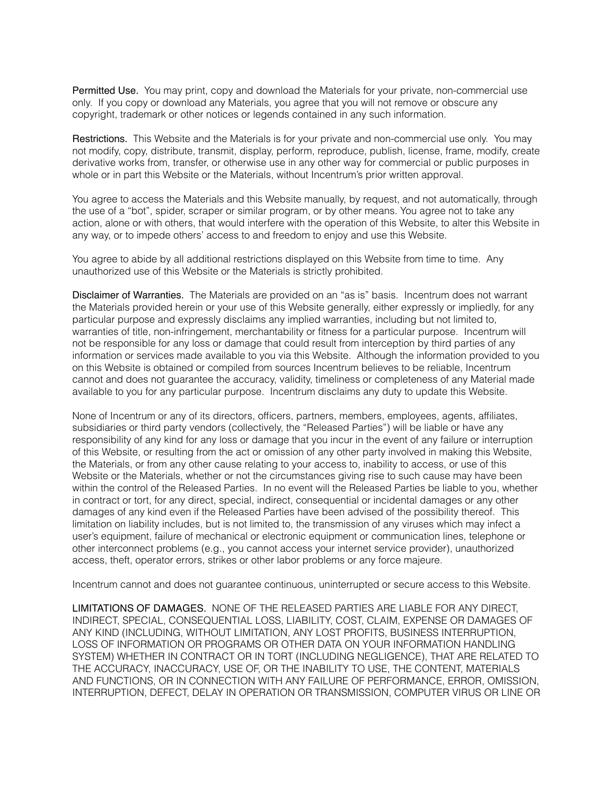Permitted Use. You may print, copy and download the Materials for your private, non-commercial use only. If you copy or download any Materials, you agree that you will not remove or obscure any copyright, trademark or other notices or legends contained in any such information.

Restrictions. This Website and the Materials is for your private and non-commercial use only. You may not modify, copy, distribute, transmit, display, perform, reproduce, publish, license, frame, modify, create derivative works from, transfer, or otherwise use in any other way for commercial or public purposes in whole or in part this Website or the Materials, without Incentrum's prior written approval.

You agree to access the Materials and this Website manually, by request, and not automatically, through the use of a "bot", spider, scraper or similar program, or by other means. You agree not to take any action, alone or with others, that would interfere with the operation of this Website, to alter this Website in any way, or to impede others' access to and freedom to enjoy and use this Website.

You agree to abide by all additional restrictions displayed on this Website from time to time. Any unauthorized use of this Website or the Materials is strictly prohibited.

Disclaimer of Warranties. The Materials are provided on an "as is" basis. Incentrum does not warrant the Materials provided herein or your use of this Website generally, either expressly or impliedly, for any particular purpose and expressly disclaims any implied warranties, including but not limited to, warranties of title, non-infringement, merchantability or fitness for a particular purpose. Incentrum will not be responsible for any loss or damage that could result from interception by third parties of any information or services made available to you via this Website. Although the information provided to you on this Website is obtained or compiled from sources Incentrum believes to be reliable, Incentrum cannot and does not guarantee the accuracy, validity, timeliness or completeness of any Material made available to you for any particular purpose. Incentrum disclaims any duty to update this Website.

None of Incentrum or any of its directors, officers, partners, members, employees, agents, affiliates, subsidiaries or third party vendors (collectively, the "Released Parties") will be liable or have any responsibility of any kind for any loss or damage that you incur in the event of any failure or interruption of this Website, or resulting from the act or omission of any other party involved in making this Website, the Materials, or from any other cause relating to your access to, inability to access, or use of this Website or the Materials, whether or not the circumstances giving rise to such cause may have been within the control of the Released Parties. In no event will the Released Parties be liable to you, whether in contract or tort, for any direct, special, indirect, consequential or incidental damages or any other damages of any kind even if the Released Parties have been advised of the possibility thereof. This limitation on liability includes, but is not limited to, the transmission of any viruses which may infect a user's equipment, failure of mechanical or electronic equipment or communication lines, telephone or other interconnect problems (e.g., you cannot access your internet service provider), unauthorized access, theft, operator errors, strikes or other labor problems or any force majeure.

Incentrum cannot and does not guarantee continuous, uninterrupted or secure access to this Website.

LIMITATIONS OF DAMAGES. NONE OF THE RELEASED PARTIES ARE LIABLE FOR ANY DIRECT, INDIRECT, SPECIAL, CONSEQUENTIAL LOSS, LIABILITY, COST, CLAIM, EXPENSE OR DAMAGES OF ANY KIND (INCLUDING, WITHOUT LIMITATION, ANY LOST PROFITS, BUSINESS INTERRUPTION, LOSS OF INFORMATION OR PROGRAMS OR OTHER DATA ON YOUR INFORMATION HANDLING SYSTEM) WHETHER IN CONTRACT OR IN TORT (INCLUDING NEGLIGENCE), THAT ARE RELATED TO THE ACCURACY, INACCURACY, USE OF, OR THE INABILITY TO USE, THE CONTENT, MATERIALS AND FUNCTIONS, OR IN CONNECTION WITH ANY FAILURE OF PERFORMANCE, ERROR, OMISSION, INTERRUPTION, DEFECT, DELAY IN OPERATION OR TRANSMISSION, COMPUTER VIRUS OR LINE OR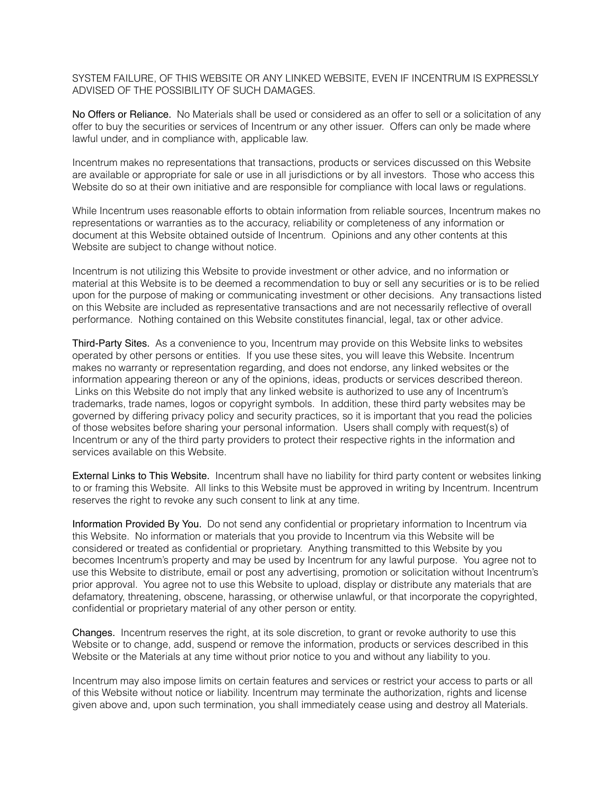SYSTEM FAILURE, OF THIS WEBSITE OR ANY LINKED WEBSITE, EVEN IF INCENTRUM IS EXPRESSLY ADVISED OF THE POSSIBILITY OF SUCH DAMAGES.

No Offers or Reliance. No Materials shall be used or considered as an offer to sell or a solicitation of any offer to buy the securities or services of Incentrum or any other issuer. Offers can only be made where lawful under, and in compliance with, applicable law.

Incentrum makes no representations that transactions, products or services discussed on this Website are available or appropriate for sale or use in all jurisdictions or by all investors. Those who access this Website do so at their own initiative and are responsible for compliance with local laws or regulations.

While Incentrum uses reasonable efforts to obtain information from reliable sources, Incentrum makes no representations or warranties as to the accuracy, reliability or completeness of any information or document at this Website obtained outside of Incentrum. Opinions and any other contents at this Website are subject to change without notice.

Incentrum is not utilizing this Website to provide investment or other advice, and no information or material at this Website is to be deemed a recommendation to buy or sell any securities or is to be relied upon for the purpose of making or communicating investment or other decisions. Any transactions listed on this Website are included as representative transactions and are not necessarily reflective of overall performance. Nothing contained on this Website constitutes financial, legal, tax or other advice.

Third-Party Sites. As a convenience to you, Incentrum may provide on this Website links to websites operated by other persons or entities. If you use these sites, you will leave this Website. Incentrum makes no warranty or representation regarding, and does not endorse, any linked websites or the information appearing thereon or any of the opinions, ideas, products or services described thereon. Links on this Website do not imply that any linked website is authorized to use any of Incentrum's trademarks, trade names, logos or copyright symbols. In addition, these third party websites may be governed by differing privacy policy and security practices, so it is important that you read the policies of those websites before sharing your personal information. Users shall comply with request(s) of Incentrum or any of the third party providers to protect their respective rights in the information and services available on this Website.

External Links to This Website. Incentrum shall have no liability for third party content or websites linking to or framing this Website. All links to this Website must be approved in writing by Incentrum. Incentrum reserves the right to revoke any such consent to link at any time.

Information Provided By You. Do not send any confidential or proprietary information to Incentrum via this Website. No information or materials that you provide to Incentrum via this Website will be considered or treated as confidential or proprietary. Anything transmitted to this Website by you becomes Incentrum's property and may be used by Incentrum for any lawful purpose. You agree not to use this Website to distribute, email or post any advertising, promotion or solicitation without Incentrum's prior approval. You agree not to use this Website to upload, display or distribute any materials that are defamatory, threatening, obscene, harassing, or otherwise unlawful, or that incorporate the copyrighted, confidential or proprietary material of any other person or entity.

Changes. Incentrum reserves the right, at its sole discretion, to grant or revoke authority to use this Website or to change, add, suspend or remove the information, products or services described in this Website or the Materials at any time without prior notice to you and without any liability to you.

Incentrum may also impose limits on certain features and services or restrict your access to parts or all of this Website without notice or liability. Incentrum may terminate the authorization, rights and license given above and, upon such termination, you shall immediately cease using and destroy all Materials.